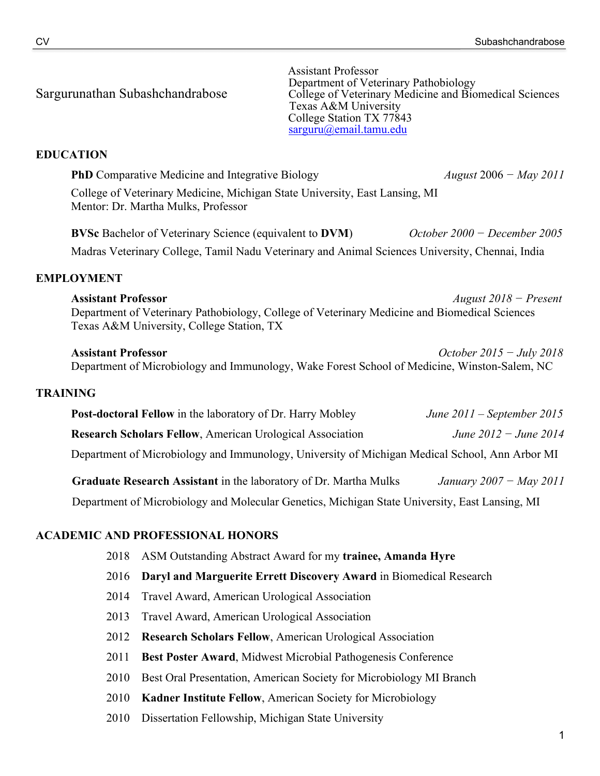Sargurunathan Subashchandrabose<br>
Sargurunathan Subashchandrabose<br>
Texas A&M University<br>
College of Veterinary Medicine and Biomedical Sciences<br>
Texas A&M University<br>
College Station TX 77843<br>
Sarguru(@email.tamu.edu

# **EDUCATION**

**PhD** Comparative Medicine and Integrative Biology *August* 2006 *− May 2011* College of Veterinary Medicine, Michigan State University, East Lansing, MI Mentor: Dr. Martha Mulks, Professor

**BVSc** Bachelor of Veterinary Science (equivalent to **DVM**) *October 2000 − December 2005* Madras Veterinary College, Tamil Nadu Veterinary and Animal Sciences University, Chennai, India

## **EMPLOYMENT**

**Assistant Professor** *August 2018 − Present* Department of Veterinary Pathobiology, College of Veterinary Medicine and Biomedical Sciences Texas A&M University, College Station, TX

**Assistant Professor** *October 2015 − July 2018* Department of Microbiology and Immunology, Wake Forest School of Medicine, Winston-Salem, NC

#### **TRAINING**

| <b>Post-doctoral Fellow</b> in the laboratory of Dr. Harry Mobley                              | June $2011$ – September 2015 |
|------------------------------------------------------------------------------------------------|------------------------------|
| <b>Research Scholars Fellow, American Urological Association</b>                               | June 2012 – June 2014        |
| Department of Microbiology and Immunology, University of Michigan Medical School, Ann Arbor MI |                              |

**Graduate Research Assistant** in the laboratory of Dr. Martha Mulks*January 2007 − May 2011*

Department of Microbiology and Molecular Genetics, Michigan State University, East Lansing, MI

#### **ACADEMIC AND PROFESSIONAL HONORS**

- 2018 ASM Outstanding Abstract Award for my **trainee, Amanda Hyre**
- 2016 **Daryl and Marguerite Errett Discovery Award** in Biomedical Research
- 2014 Travel Award, American Urological Association
- 2013 Travel Award, American Urological Association
- 2012 **Research Scholars Fellow**, American Urological Association
- 2011 **Best Poster Award**, Midwest Microbial Pathogenesis Conference
- 2010 Best Oral Presentation, American Society for Microbiology MI Branch
- 2010 **Kadner Institute Fellow**, American Society for Microbiology
- 2010 Dissertation Fellowship, Michigan State University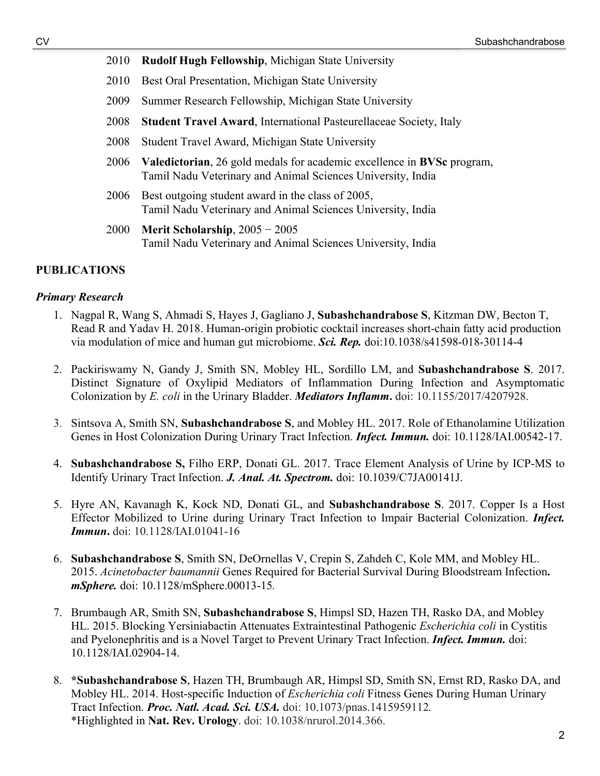- 2010 **Rudolf Hugh Fellowship**, Michigan State University
- 2010 Best Oral Presentation, Michigan State University
- 2009 Summer Research Fellowship, Michigan State University
- 2008 **Student Travel Award**, International Pasteurellaceae Society, Italy
- 2008 Student Travel Award, Michigan State University
- 2006 **Valedictorian**, 26 gold medals for academic excellence in **BVSc** program, Tamil Nadu Veterinary and Animal Sciences University, India
- 2006 Best outgoing student award in the class of 2005, Tamil Nadu Veterinary and Animal Sciences University, India
- 2000 **Merit Scholarship**, 2005 − 2005 Tamil Nadu Veterinary and Animal Sciences University, India

## **PUBLICATIONS**

#### *Primary Research*

- 1. Nagpal R, Wang S, Ahmadi S, Hayes J, Gagliano J, **Subashchandrabose S**, Kitzman DW, Becton T, Read R and Yadav H. 2018. Human-origin probiotic cocktail increases short-chain fatty acid production via modulation of mice and human gut microbiome. *Sci. Rep.* doi:10.1038/s41598-018-30114-4
- 2. Packiriswamy N, Gandy J, Smith SN, Mobley HL, Sordillo LM, and **Subashchandrabose S**. 2017. Distinct Signature of Oxylipid Mediators of Inflammation During Infection and Asymptomatic Colonization by *E. coli* in the Urinary Bladder. *Mediators Inflamm***.** doi: 10.1155/2017/4207928.
- 3. Sintsova A, Smith SN, **Subashchandrabose S**, and Mobley HL. 2017. Role of Ethanolamine Utilization Genes in Host Colonization During Urinary Tract Infection. *Infect. Immun.* doi: 10.1128/IAI.00542-17.
- 4. **Subashchandrabose S,** Filho ERP, Donati GL. 2017. Trace Element Analysis of Urine by ICP-MS to Identify Urinary Tract Infection. *J. Anal. At. Spectrom.* doi: 10.1039/C7JA00141J.
- 5. Hyre AN, Kavanagh K, Kock ND, Donati GL, and **Subashchandrabose S**. 2017. Copper Is a Host Effector Mobilized to Urine during Urinary Tract Infection to Impair Bacterial Colonization. *Infect. Immun***.** doi: 10.1128/IAI.01041-16
- 6. **Subashchandrabose S**, Smith SN, DeOrnellas V, Crepin S, Zahdeh C, Kole MM, and Mobley HL. 2015. *Acinetobacter baumannii* Genes Required for Bacterial Survival During Bloodstream Infection**.**  *mSphere.* doi: 10.1128/mSphere.00013-15*.*
- 7. Brumbaugh AR, Smith SN, **Subashchandrabose S**, Himpsl SD, Hazen TH, Rasko DA, and Mobley HL. 2015. Blocking Yersiniabactin Attenuates Extraintestinal Pathogenic *Escherichia coli* in Cystitis and Pyelonephritis and is a Novel Target to Prevent Urinary Tract Infection. *Infect. Immun.* doi: 10.1128/IAI.02904-14.
- 8. **\*Subashchandrabose S**, Hazen TH, Brumbaugh AR, Himpsl SD, Smith SN, Ernst RD, Rasko DA, and Mobley HL. 2014. Host-specific Induction of *Escherichia coli* Fitness Genes During Human Urinary Tract Infection. *Proc. Natl. Acad. Sci. USA.* doi: 10.1073/pnas.1415959112*.* \*Highlighted in **Nat. Rev. Urology**. doi: 10.1038/nrurol.2014.366.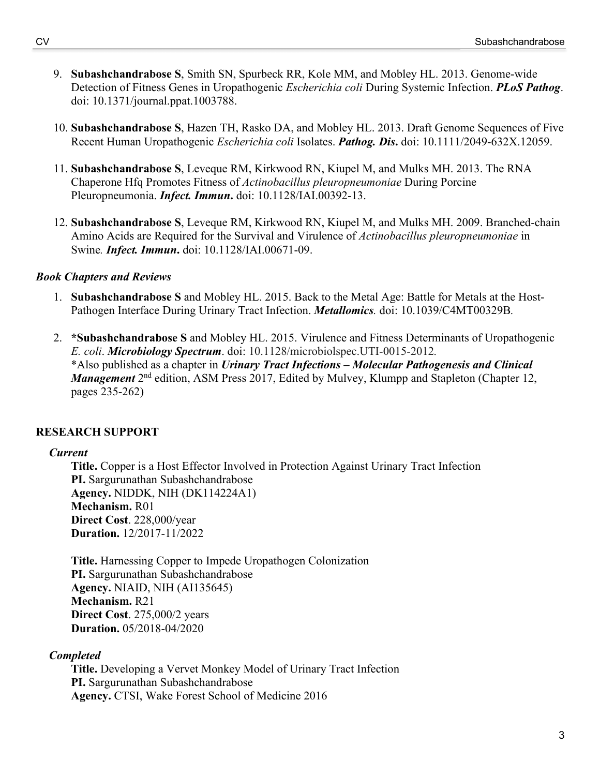- 9. **Subashchandrabose S**, Smith SN, Spurbeck RR, Kole MM, and Mobley HL. 2013. Genome-wide Detection of Fitness Genes in Uropathogenic *Escherichia coli* During Systemic Infection. *PLoS Pathog*. doi: 10.1371/journal.ppat.1003788.
- 10. **Subashchandrabose S**, Hazen TH, Rasko DA, and Mobley HL. 2013. Draft Genome Sequences of Five Recent Human Uropathogenic *Escherichia coli* Isolates. *Pathog. Dis***.** doi: 10.1111/2049-632X.12059.
- 11. **Subashchandrabose S**, Leveque RM, Kirkwood RN, Kiupel M, and Mulks MH. 2013. The RNA Chaperone Hfq Promotes Fitness of *Actinobacillus pleuropneumoniae* During Porcine Pleuropneumonia. *Infect. Immun***.** doi: 10.1128/IAI.00392-13.
- 12. **Subashchandrabose S**, Leveque RM, Kirkwood RN, Kiupel M, and Mulks MH. 2009. Branched-chain Amino Acids are Required for the Survival and Virulence of *Actinobacillus pleuropneumoniae* in Swine*. Infect. Immun***.** doi: 10.1128/IAI.00671-09.

# *Book Chapters and Reviews*

- 1. **Subashchandrabose S** and Mobley HL. 2015. Back to the Metal Age: Battle for Metals at the Host-Pathogen Interface During Urinary Tract Infection. *Metallomics.* doi: 10.1039/C4MT00329B*.*
- 2. **\*Subashchandrabose S** and Mobley HL. 2015. Virulence and Fitness Determinants of Uropathogenic *E. coli*. *Microbiology Spectrum*. doi: 10.1128/microbiolspec.UTI-0015-2012*.*  \*Also published as a chapter in *Urinary Tract Infections – Molecular Pathogenesis and Clinical Management* 2<sup>nd</sup> edition, ASM Press 2017, Edited by Mulvey, Klumpp and Stapleton (Chapter 12, pages 235-262)

# **RESEARCH SUPPORT**

# *Current*

**Title.** Copper is a Host Effector Involved in Protection Against Urinary Tract Infection **PI.** Sargurunathan Subashchandrabose **Agency.** NIDDK, NIH (DK114224A1) **Mechanism.** R01 **Direct Cost**. 228,000/year **Duration.** 12/2017-11/2022

**Title.** Harnessing Copper to Impede Uropathogen Colonization **PI.** Sargurunathan Subashchandrabose **Agency.** NIAID, NIH (AI135645) **Mechanism.** R21 **Direct Cost**. 275,000/2 years **Duration.** 05/2018-04/2020

# *Completed*

**Title.** Developing a Vervet Monkey Model of Urinary Tract Infection **PI.** Sargurunathan Subashchandrabose **Agency.** CTSI, Wake Forest School of Medicine 2016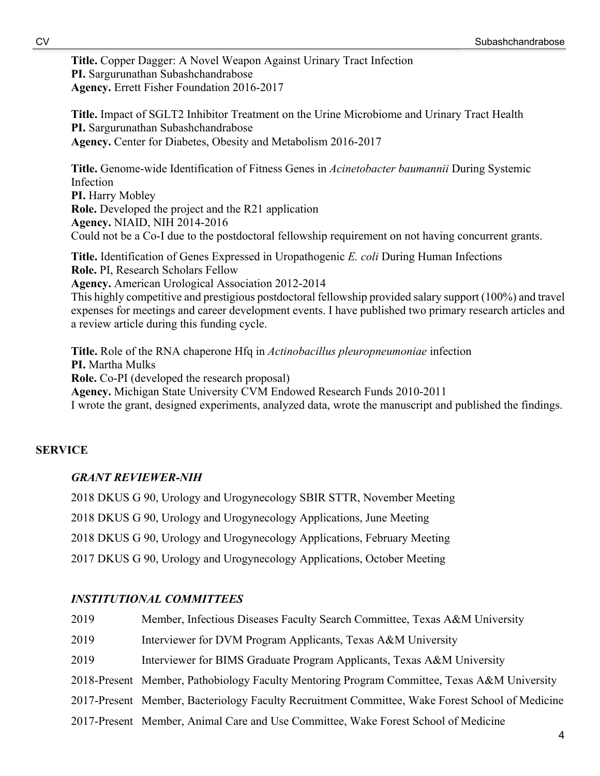**Title.** Copper Dagger: A Novel Weapon Against Urinary Tract Infection **PI.** Sargurunathan Subashchandrabose **Agency.** Errett Fisher Foundation 2016-2017

**Title.** Impact of SGLT2 Inhibitor Treatment on the Urine Microbiome and Urinary Tract Health **PI.** Sargurunathan Subashchandrabose **Agency.** Center for Diabetes, Obesity and Metabolism 2016-2017

**Title.** Genome-wide Identification of Fitness Genes in *Acinetobacter baumannii* During Systemic Infection **PI.** Harry Mobley **Role.** Developed the project and the R21 application **Agency.** NIAID, NIH 2014-2016 Could not be a Co-I due to the postdoctoral fellowship requirement on not having concurrent grants.

**Title.** Identification of Genes Expressed in Uropathogenic *E. coli* During Human Infections **Role.** PI, Research Scholars Fellow

**Agency.** American Urological Association 2012-2014

This highly competitive and prestigious postdoctoral fellowship provided salary support (100%) and travel expenses for meetings and career development events. I have published two primary research articles and a review article during this funding cycle.

**Title.** Role of the RNA chaperone Hfq in *Actinobacillus pleuropneumoniae* infection **PI.** Martha Mulks **Role.** Co-PI (developed the research proposal) **Agency.** Michigan State University CVM Endowed Research Funds 2010-2011 I wrote the grant, designed experiments, analyzed data, wrote the manuscript and published the findings.

# **SERVICE**

# *GRANT REVIEWER-NIH*

2018 DKUS G 90, Urology and Urogynecology SBIR STTR, November Meeting 2018 DKUS G 90, Urology and Urogynecology Applications, June Meeting 2018 DKUS G 90, Urology and Urogynecology Applications, February Meeting 2017 DKUS G 90, Urology and Urogynecology Applications, October Meeting

# *INSTITUTIONAL COMMITTEES*

| 2019 | Member, Infectious Diseases Faculty Search Committee, Texas A&M University                      |
|------|-------------------------------------------------------------------------------------------------|
| 2019 | Interviewer for DVM Program Applicants, Texas A&M University                                    |
| 2019 | Interviewer for BIMS Graduate Program Applicants, Texas A&M University                          |
|      | 2018-Present Member, Pathobiology Faculty Mentoring Program Committee, Texas A&M University     |
|      | 2017-Present Member, Bacteriology Faculty Recruitment Committee, Wake Forest School of Medicine |
|      | 2017-Present Member, Animal Care and Use Committee, Wake Forest School of Medicine              |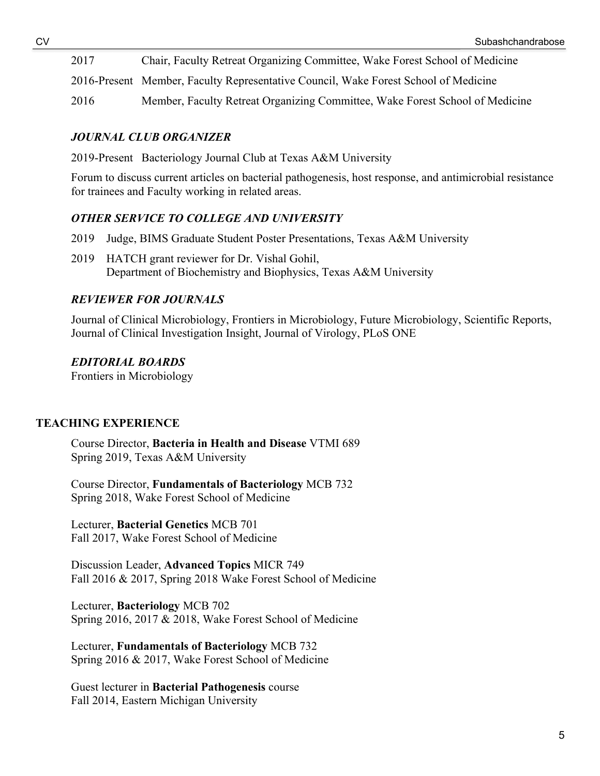2017 Chair, Faculty Retreat Organizing Committee, Wake Forest School of Medicine

2016-Present Member, Faculty Representative Council, Wake Forest School of Medicine

2016 Member, Faculty Retreat Organizing Committee, Wake Forest School of Medicine

## *JOURNAL CLUB ORGANIZER*

2019-Present Bacteriology Journal Club at Texas A&M University

Forum to discuss current articles on bacterial pathogenesis, host response, and antimicrobial resistance for trainees and Faculty working in related areas.

## *OTHER SERVICE TO COLLEGE AND UNIVERSITY*

- 2019 Judge, BIMS Graduate Student Poster Presentations, Texas A&M University
- 2019 HATCH grant reviewer for Dr. Vishal Gohil, Department of Biochemistry and Biophysics, Texas A&M University

# *REVIEWER FOR JOURNALS*

Journal of Clinical Microbiology, Frontiers in Microbiology, Future Microbiology, Scientific Reports, Journal of Clinical Investigation Insight, Journal of Virology, PLoS ONE

## *EDITORIAL BOARDS*

Frontiers in Microbiology

# **TEACHING EXPERIENCE**

Course Director, **Bacteria in Health and Disease** VTMI 689 Spring 2019, Texas A&M University

Course Director, **Fundamentals of Bacteriology** MCB 732 Spring 2018, Wake Forest School of Medicine

Lecturer, **Bacterial Genetics** MCB 701 Fall 2017, Wake Forest School of Medicine

Discussion Leader, **Advanced Topics** MICR 749 Fall 2016 & 2017, Spring 2018 Wake Forest School of Medicine

Lecturer, **Bacteriology** MCB 702 Spring 2016, 2017 & 2018, Wake Forest School of Medicine

Lecturer, **Fundamentals of Bacteriology** MCB 732 Spring 2016 & 2017, Wake Forest School of Medicine

Guest lecturer in **Bacterial Pathogenesis** course Fall 2014, Eastern Michigan University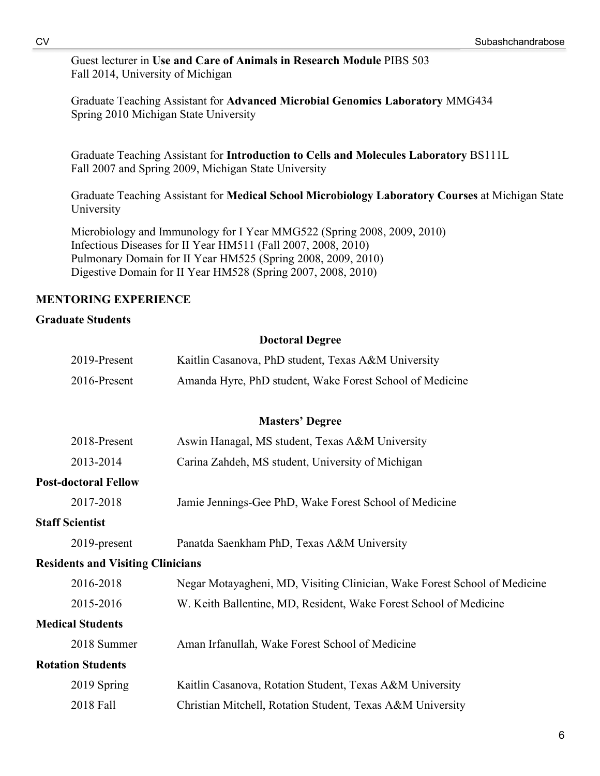Guest lecturer in **Use and Care of Animals in Research Module** PIBS 503 Fall 2014, University of Michigan

Graduate Teaching Assistant for **Advanced Microbial Genomics Laboratory** MMG434 Spring 2010 Michigan State University

Graduate Teaching Assistant for **Introduction to Cells and Molecules Laboratory** BS111L Fall 2007 and Spring 2009, Michigan State University

Graduate Teaching Assistant for **Medical School Microbiology Laboratory Courses** at Michigan State University

Microbiology and Immunology for I Year MMG522 (Spring 2008, 2009, 2010) Infectious Diseases for II Year HM511 (Fall 2007, 2008, 2010) Pulmonary Domain for II Year HM525 (Spring 2008, 2009, 2010) Digestive Domain for II Year HM528 (Spring 2007, 2008, 2010)

#### **MENTORING EXPERIENCE**

#### **Graduate Students**

#### **Doctoral Degree**

| 2019-Present                             | Kaitlin Casanova, PhD student, Texas A&M University                       |
|------------------------------------------|---------------------------------------------------------------------------|
| 2016-Present                             | Amanda Hyre, PhD student, Wake Forest School of Medicine                  |
|                                          |                                                                           |
|                                          | <b>Masters' Degree</b>                                                    |
| 2018-Present                             | Aswin Hanagal, MS student, Texas A&M University                           |
| 2013-2014                                | Carina Zahdeh, MS student, University of Michigan                         |
| <b>Post-doctoral Fellow</b>              |                                                                           |
| 2017-2018                                | Jamie Jennings-Gee PhD, Wake Forest School of Medicine                    |
| <b>Staff Scientist</b>                   |                                                                           |
| 2019-present                             | Panatda Saenkham PhD, Texas A&M University                                |
| <b>Residents and Visiting Clinicians</b> |                                                                           |
| 2016-2018                                | Negar Motayagheni, MD, Visiting Clinician, Wake Forest School of Medicine |
| 2015-2016                                | W. Keith Ballentine, MD, Resident, Wake Forest School of Medicine         |
| <b>Medical Students</b>                  |                                                                           |
| 2018 Summer                              | Aman Irfanullah, Wake Forest School of Medicine                           |
| <b>Rotation Students</b>                 |                                                                           |
| 2019 Spring                              | Kaitlin Casanova, Rotation Student, Texas A&M University                  |
| 2018 Fall                                | Christian Mitchell, Rotation Student, Texas A&M University                |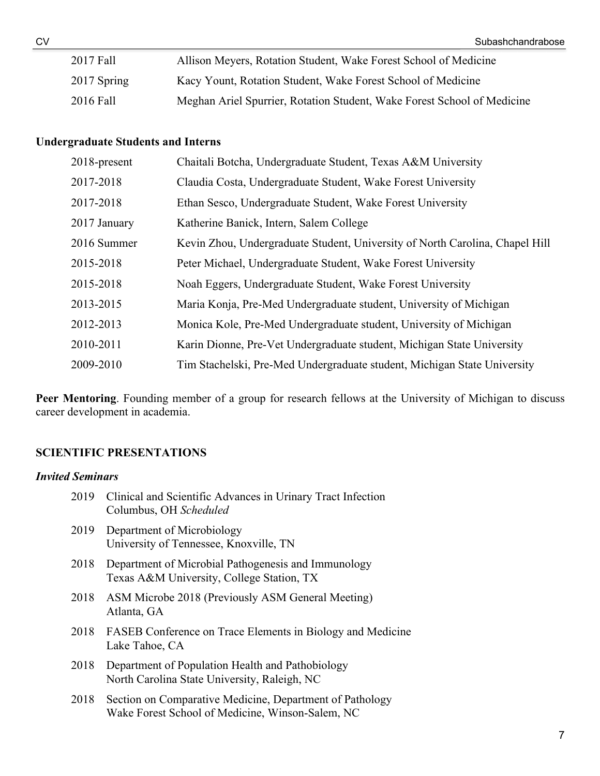| 2017 Fall   | Allison Meyers, Rotation Student, Wake Forest School of Medicine        |
|-------------|-------------------------------------------------------------------------|
| 2017 Spring | Kacy Yount, Rotation Student, Wake Forest School of Medicine            |
| 2016 Fall   | Meghan Ariel Spurrier, Rotation Student, Wake Forest School of Medicine |

## **Undergraduate Students and Interns**

| 2018-present | Chaitali Botcha, Undergraduate Student, Texas A&M University                 |
|--------------|------------------------------------------------------------------------------|
| 2017-2018    | Claudia Costa, Undergraduate Student, Wake Forest University                 |
| 2017-2018    | Ethan Sesco, Undergraduate Student, Wake Forest University                   |
| 2017 January | Katherine Banick, Intern, Salem College                                      |
| 2016 Summer  | Kevin Zhou, Undergraduate Student, University of North Carolina, Chapel Hill |
| 2015-2018    | Peter Michael, Undergraduate Student, Wake Forest University                 |
| 2015-2018    | Noah Eggers, Undergraduate Student, Wake Forest University                   |
| 2013-2015    | Maria Konja, Pre-Med Undergraduate student, University of Michigan           |
| 2012-2013    | Monica Kole, Pre-Med Undergraduate student, University of Michigan           |
| 2010-2011    | Karin Dionne, Pre-Vet Undergraduate student, Michigan State University       |
| 2009-2010    | Tim Stachelski, Pre-Med Undergraduate student, Michigan State University     |
|              |                                                                              |

**Peer Mentoring**. Founding member of a group for research fellows at the University of Michigan to discuss career development in academia.

# **SCIENTIFIC PRESENTATIONS**

#### *Invited Seminars*

| 2019 | Clinical and Scientific Advances in Urinary Tract Infection<br>Columbus, OH Scheduled                        |
|------|--------------------------------------------------------------------------------------------------------------|
| 2019 | Department of Microbiology<br>University of Tennessee, Knoxville, TN                                         |
| 2018 | Department of Microbial Pathogenesis and Immunology<br>Texas A&M University, College Station, TX             |
| 2018 | ASM Microbe 2018 (Previously ASM General Meeting)<br>Atlanta, GA                                             |
| 2018 | FASEB Conference on Trace Elements in Biology and Medicine<br>Lake Tahoe, CA                                 |
| 2018 | Department of Population Health and Pathobiology<br>North Carolina State University, Raleigh, NC             |
| 2018 | Section on Comparative Medicine, Department of Pathology<br>Wake Forest School of Medicine, Winson-Salem, NC |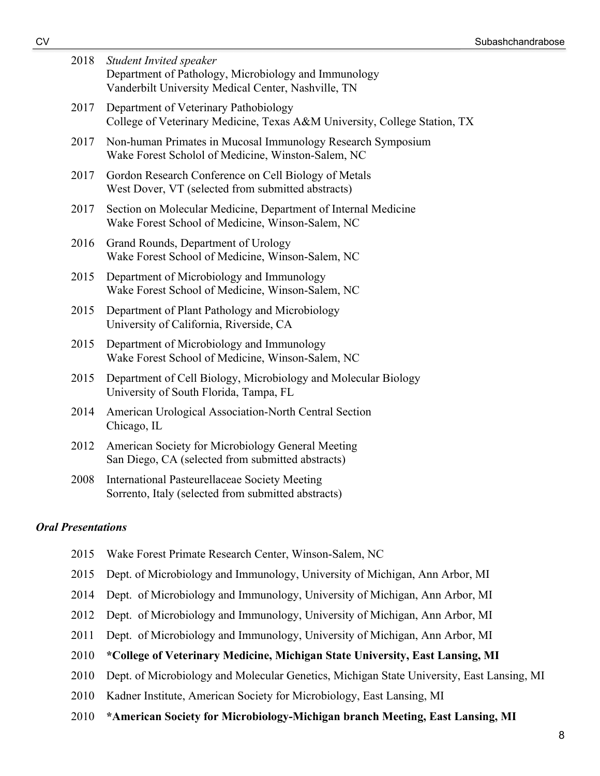| 2018 | <b>Student Invited speaker</b><br>Department of Pathology, Microbiology and Immunology<br>Vanderbilt University Medical Center, Nashville, TN |
|------|-----------------------------------------------------------------------------------------------------------------------------------------------|
| 2017 | Department of Veterinary Pathobiology<br>College of Veterinary Medicine, Texas A&M University, College Station, TX                            |
| 2017 | Non-human Primates in Mucosal Immunology Research Symposium<br>Wake Forest Scholol of Medicine, Winston-Salem, NC                             |
| 2017 | Gordon Research Conference on Cell Biology of Metals<br>West Dover, VT (selected from submitted abstracts)                                    |
| 2017 | Section on Molecular Medicine, Department of Internal Medicine<br>Wake Forest School of Medicine, Winson-Salem, NC                            |
| 2016 | Grand Rounds, Department of Urology<br>Wake Forest School of Medicine, Winson-Salem, NC                                                       |
| 2015 | Department of Microbiology and Immunology<br>Wake Forest School of Medicine, Winson-Salem, NC                                                 |
| 2015 | Department of Plant Pathology and Microbiology<br>University of California, Riverside, CA                                                     |
| 2015 | Department of Microbiology and Immunology<br>Wake Forest School of Medicine, Winson-Salem, NC                                                 |
| 2015 | Department of Cell Biology, Microbiology and Molecular Biology<br>University of South Florida, Tampa, FL                                      |
| 2014 | American Urological Association-North Central Section<br>Chicago, IL                                                                          |
| 2012 | American Society for Microbiology General Meeting<br>San Diego, CA (selected from submitted abstracts)                                        |
| 2008 | <b>International Pasteurellaceae Society Meeting</b>                                                                                          |

#### *Oral Presentations*

2015 Wake Forest Primate Research Center, Winson-Salem, NC

Sorrento, Italy (selected from submitted abstracts)

- 2015 Dept. of Microbiology and Immunology, University of Michigan, Ann Arbor, MI
- 2014 Dept. of Microbiology and Immunology, University of Michigan, Ann Arbor, MI
- 2012 Dept. of Microbiology and Immunology, University of Michigan, Ann Arbor, MI
- 2011 Dept. of Microbiology and Immunology, University of Michigan, Ann Arbor, MI
- 2010 **\*College of Veterinary Medicine, Michigan State University, East Lansing, MI**
- 2010 Dept. of Microbiology and Molecular Genetics, Michigan State University, East Lansing, MI
- 2010 Kadner Institute, American Society for Microbiology, East Lansing, MI
- 2010 **\*American Society for Microbiology-Michigan branch Meeting, East Lansing, MI**